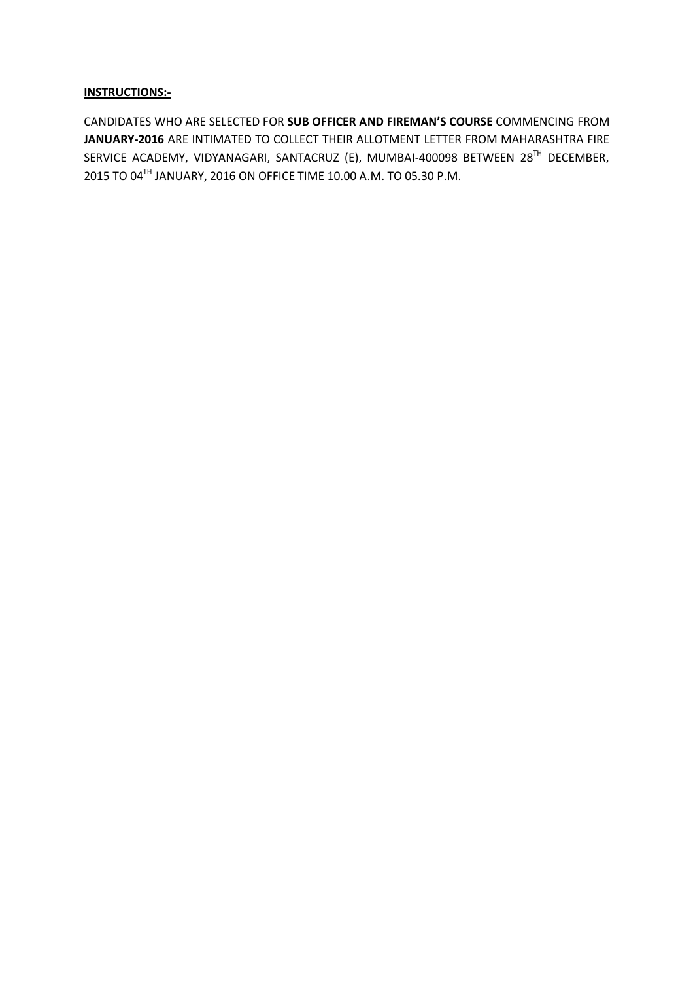## **INSTRUCTIONS:-**

CANDIDATES WHO ARE SELECTED FOR **SUB OFFICER AND FIREMAN'S COURSE** COMMENCING FROM **JANUARY-2016** ARE INTIMATED TO COLLECT THEIR ALLOTMENT LETTER FROM MAHARASHTRA FIRE SERVICE ACADEMY, VIDYANAGARI, SANTACRUZ (E), MUMBAI-400098 BETWEEN 28TH DECEMBER, 2015 TO 04TH JANUARY, 2016 ON OFFICE TIME 10.00 A.M. TO 05.30 P.M.